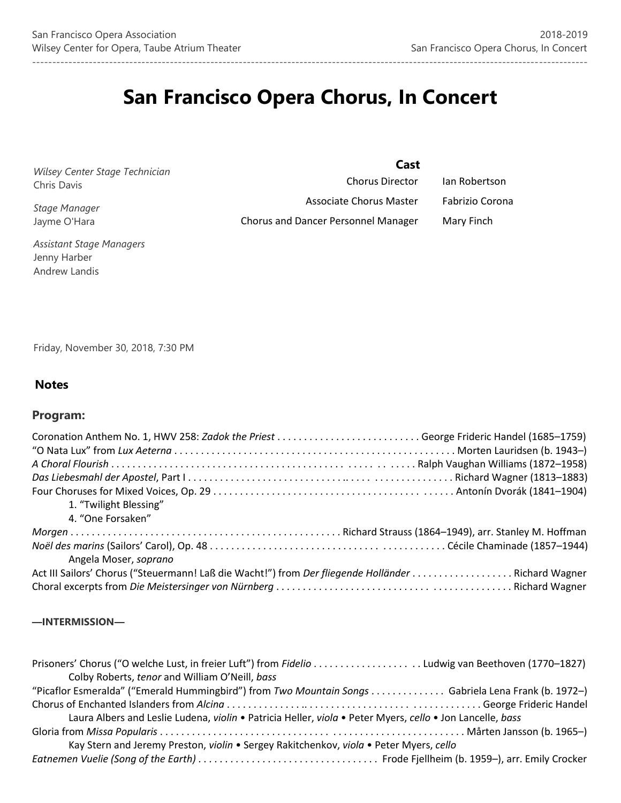# **San Francisco Opera Chorus, In Concert**

*Wilsey Center Stage Technician*  Chris Davis

*Stage Manager*  Jayme O'Hara

Chorus Director Ian Robertson Associate Chorus Master Fabrizio Corona Chorus and Dancer Personnel Manager Mary Finch

 **Cast**

*Assistant Stage Managers* Jenny Harber Andrew Landis

Friday, November 30, 2018, 7:30 PM

# **Notes**

# **Program:**

| 1. "Twilight Blessing"                                                                             |  |
|----------------------------------------------------------------------------------------------------|--|
| 4. "One Forsaken"                                                                                  |  |
|                                                                                                    |  |
| Angela Moser, soprano                                                                              |  |
| Act III Sailors' Chorus ("Steuermann! Laß die Wacht!") from Der fliegende Holländer Richard Wagner |  |
|                                                                                                    |  |

## **—INTERMISSION—**

| Prisoners' Chorus ("O welche Lust, in freier Luft") from Fidelio Ludwig van Beethoven (1770–1827)         |  |
|-----------------------------------------------------------------------------------------------------------|--|
| Colby Roberts, tenor and William O'Neill, bass                                                            |  |
| "Picaflor Esmeralda" ("Emerald Hummingbird") from Two Mountain Songs Gabriela Lena Frank (b. 1972-)       |  |
|                                                                                                           |  |
| Laura Albers and Leslie Ludena, violin . Patricia Heller, viola . Peter Myers, cello . Jon Lancelle, bass |  |
|                                                                                                           |  |
| Kay Stern and Jeremy Preston, violin . Sergey Rakitchenkov, viola . Peter Myers, cello                    |  |
|                                                                                                           |  |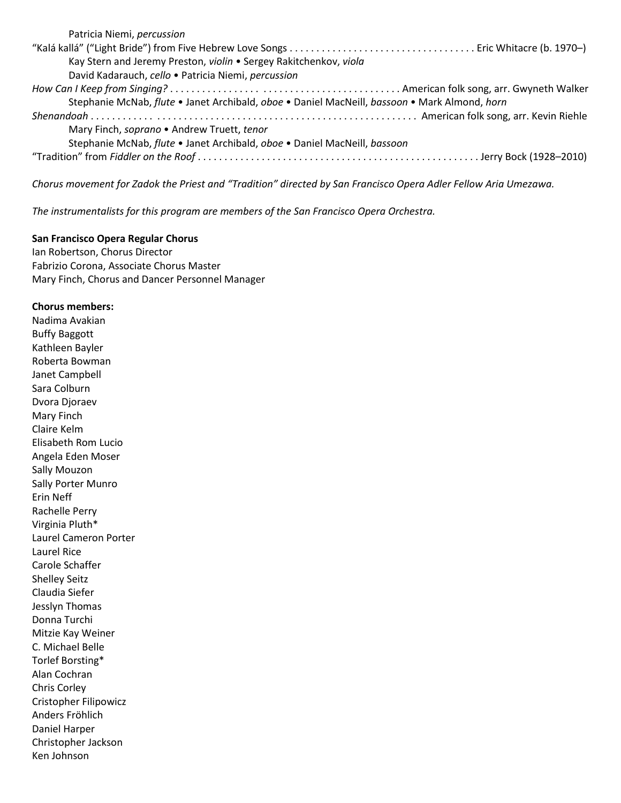| Patricia Niemi, percussion                                                                    |
|-----------------------------------------------------------------------------------------------|
|                                                                                               |
| Kay Stern and Jeremy Preston, violin . Sergey Rakitchenkov, viola                             |
| David Kadarauch, cello · Patricia Niemi, percussion                                           |
|                                                                                               |
| Stephanie McNab, flute . Janet Archibald, oboe . Daniel MacNeill, bassoon . Mark Almond, horn |
|                                                                                               |
| Mary Finch, soprano • Andrew Truett, tenor                                                    |
| Stephanie McNab, flute · Janet Archibald, oboe · Daniel MacNeill, bassoon                     |
|                                                                                               |

*Chorus movement for Zadok the Priest and "Tradition" directed by San Francisco Opera Adler Fellow Aria Umezawa.* 

*The instrumentalists for this program are members of the San Francisco Opera Orchestra.* 

#### **San Francisco Opera Regular Chorus**

Ian Robertson, Chorus Director Fabrizio Corona, Associate Chorus Master Mary Finch, Chorus and Dancer Personnel Manager

### **Chorus members:**

Nadima Avakian Buffy Baggott Kathleen Bayler Roberta Bowman Janet Campbell Sara Colburn Dvora Djoraev Mary Finch Claire Kelm Elisabeth Rom Lucio Angela Eden Moser Sally Mouzon Sally Porter Munro Erin Neff Rachelle Perry Virginia Pluth\* Laurel Cameron Porter Laurel Rice Carole Schaffer Shelley Seitz Claudia Siefer Jesslyn Thomas Donna Turchi Mitzie Kay Weiner C. Michael Belle Torlef Borsting\* Alan Cochran Chris Corley Cristopher Filipowicz Anders Fröhlich Daniel Harper Christopher Jackson Ken Johnson